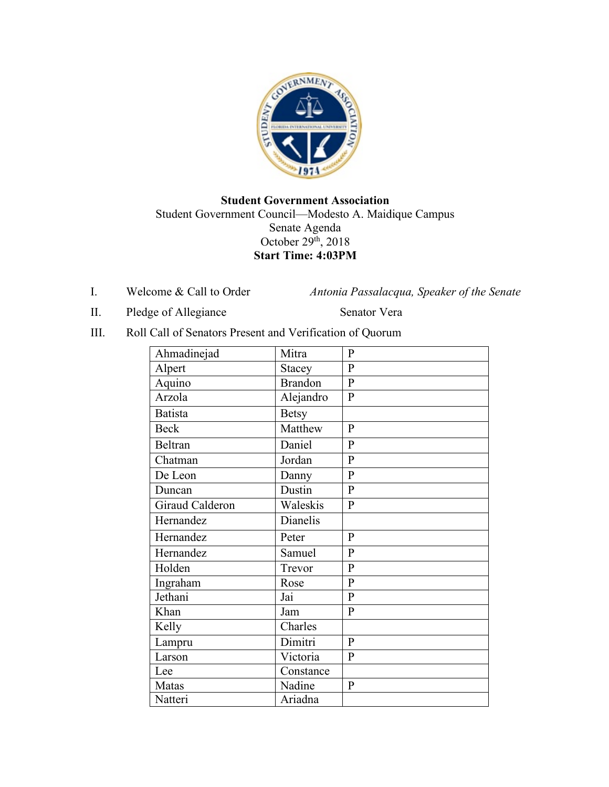

# **Student Government Association** Student Government Council—Modesto A. Maidique Campus Senate Agenda October 29<sup>th</sup>, 2018 **Start Time: 4:03PM**

I. Welcome & Call to Order *Antonia Passalacqua, Speaker of the Senate* 

II. Pledge of Allegiance Senator Vera

III. Roll Call of Senators Present and Verification of Quorum

| Ahmadinejad     | Mitra            | $\mathbf{P}$   |
|-----------------|------------------|----------------|
| Alpert          | <b>Stacey</b>    | $\overline{P}$ |
| Aquino          | <b>Brandon</b>   | $\overline{P}$ |
| Arzola          | Alejandro        | $\mathbf{P}$   |
| <b>Batista</b>  | <b>Betsy</b>     |                |
| <b>Beck</b>     | Matthew          | $\mathbf{P}$   |
| <b>Beltran</b>  | Daniel           | $\mathbf{P}$   |
| Chatman         | Jordan           | $\overline{P}$ |
| De Leon         | Danny            | $\mathbf{P}$   |
| Duncan          | Dustin           | $\mathbf{P}$   |
| Giraud Calderon | Waleskis         | $\mathbf{P}$   |
| Hernandez       | Dianelis         |                |
| Hernandez       | Peter            | $\mathbf{P}$   |
| Hernandez       | Samuel           | $\mathbf{P}$   |
| Holden          | Trevor           | $\mathbf{P}$   |
| Ingraham        | Rose             | $\overline{P}$ |
| Jethani         | $\overline{Jai}$ | $\overline{P}$ |
| Khan            | Jam              | $\mathbf{P}$   |
| Kelly           | Charles          |                |
| Lampru          | Dimitri          | $\mathbf{P}$   |
| Larson          | Victoria         | $\mathbf{P}$   |
| Lee             | Constance        |                |
| Matas           | Nadine           | ${\bf P}$      |
| Natteri         | Ariadna          |                |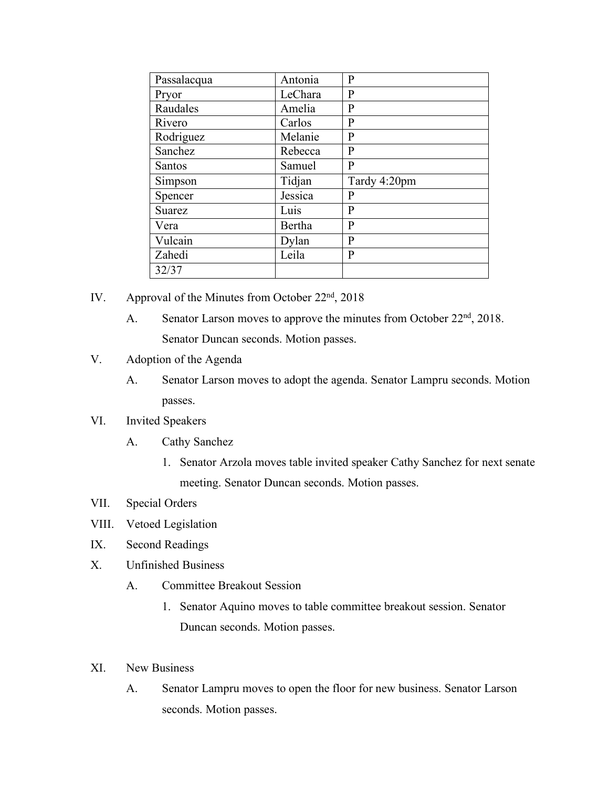| Passalacqua   | Antonia | P            |
|---------------|---------|--------------|
| Pryor         | LeChara | P            |
| Raudales      | Amelia  | $\mathbf{P}$ |
| Rivero        | Carlos  | P            |
| Rodriguez     | Melanie | $\mathbf{P}$ |
| Sanchez       | Rebecca | $\mathbf{P}$ |
| <b>Santos</b> | Samuel  | P            |
| Simpson       | Tidjan  | Tardy 4:20pm |
| Spencer       | Jessica | P            |
| Suarez        | Luis    | P            |
| Vera          | Bertha  | $\mathbf{P}$ |
| Vulcain       | Dylan   | P            |
| Zahedi        | Leila   | P            |
| 32/37         |         |              |

- IV. Approval of the Minutes from October 22<sup>nd</sup>, 2018
	- A. Senator Larson moves to approve the minutes from October  $22<sup>nd</sup>$ , 2018. Senator Duncan seconds. Motion passes.
- V. Adoption of the Agenda
	- A. Senator Larson moves to adopt the agenda. Senator Lampru seconds. Motion passes.
- VI. Invited Speakers
	- A. Cathy Sanchez
		- 1. Senator Arzola moves table invited speaker Cathy Sanchez for next senate meeting. Senator Duncan seconds. Motion passes.
- VII. Special Orders
- VIII. Vetoed Legislation
- IX. Second Readings
- X. Unfinished Business
	- A. Committee Breakout Session
		- 1. Senator Aquino moves to table committee breakout session. Senator Duncan seconds. Motion passes.
- XI. New Business
	- A. Senator Lampru moves to open the floor for new business. Senator Larson seconds. Motion passes.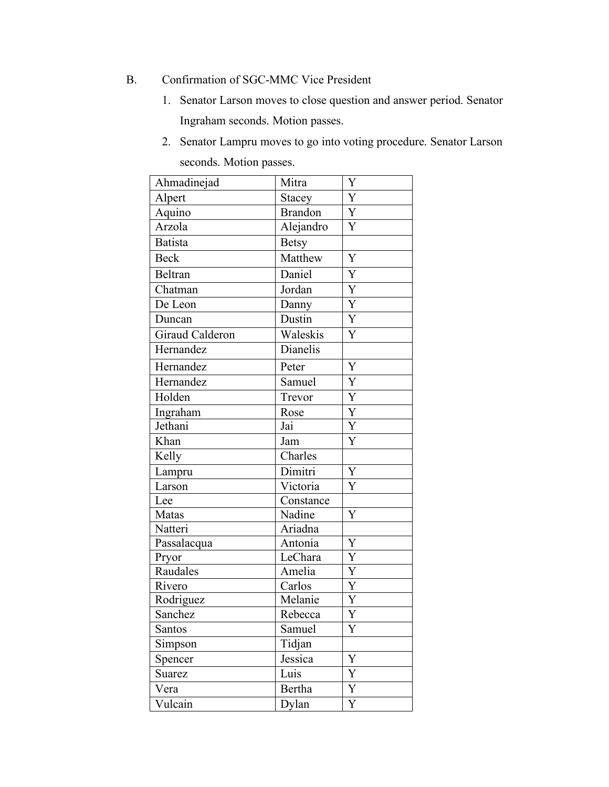- B. Confirmation of SGC-MMC Vice President
	- 1. Senator Larson moves to close question and answer period. Senator Ingraham seconds. Motion passes.
	- 2. Senator Lampru moves to go into voting procedure. Senator Larson seconds. Motion passes.

| Ahmadinejad     | Mitra          | Y              |
|-----------------|----------------|----------------|
| Alpert          | Stacey         | Y              |
| Aquino          | <b>Brandon</b> | Y              |
| Arzola          | Alejandro      | $\overline{Y}$ |
| <b>Batista</b>  | <b>Betsy</b>   |                |
| <b>Beck</b>     | Matthew        | Y              |
| Beltran         | Daniel         | Y              |
| Chatman         | Jordan         | Y              |
| De Leon         | Danny          | $\mathbf Y$    |
| Duncan          | Dustin         | $\overline{Y}$ |
| Giraud Calderon | Waleskis       | Y              |
| Hernandez       | Dianelis       |                |
| Hernandez       | Peter          | Y              |
| Hernandez       | Samuel         | Y              |
| Holden          | Trevor         | Y              |
| Ingraham        | Rose           | Y              |
| Jethani         | Jai            | Y              |
| Khan            | Jam            | Y              |
| Kelly           | Charles        |                |
| Lampru          | Dimitri        | $\mathbf Y$    |
| Larson          | Victoria       | Y              |
| Lee             | Constance      |                |
| Matas           | Nadine         | Y              |
| Natteri         | Ariadna        |                |
| Passalacqua     | Antonia        | Y              |
| Pryor           | LeChara        | Y              |
| Raudales        | Amelia         | Y              |
| Rivero          | Carlos         | Y              |
| Rodriguez       | Melanie        | Y              |
| Sanchez         | Rebecca        | Y              |
| Santos          | Samuel         | Y              |
| Simpson         | Tidjan         |                |
| Spencer         | Jessica        | Y              |
| Suarez          | Luis           | Y              |
| Vera            | Bertha         | Y              |
| Vulcain         | Dylan          | Y              |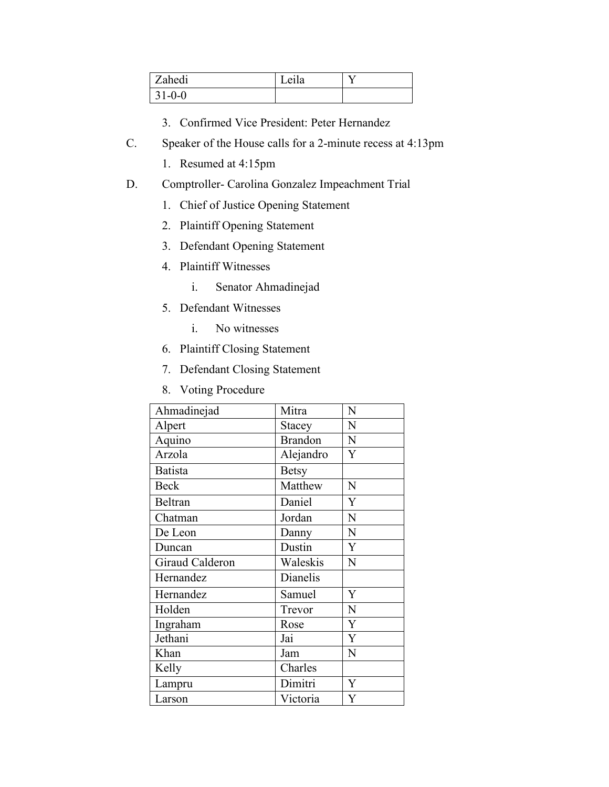| Zahedi       | $\cdot$ $\cdot$<br>Leila |  |
|--------------|--------------------------|--|
| $31 - 0 - 0$ |                          |  |

- 3. Confirmed Vice President: Peter Hernandez
- C. Speaker of the House calls for a 2-minute recess at 4:13pm
	- 1. Resumed at 4:15pm
- D. Comptroller- Carolina Gonzalez Impeachment Trial
	- 1. Chief of Justice Opening Statement
	- 2. Plaintiff Opening Statement
	- 3. Defendant Opening Statement
	- 4. Plaintiff Witnesses
		- i. Senator Ahmadinejad
	- 5. Defendant Witnesses
		- i. No witnesses
	- 6. Plaintiff Closing Statement
	- 7. Defendant Closing Statement
	- 8. Voting Procedure

| Ahmadinejad     | Mitra          | N |
|-----------------|----------------|---|
| Alpert          | Stacey         | N |
| Aquino          | <b>Brandon</b> | N |
| Arzola          | Alejandro      | Y |
| <b>Batista</b>  | <b>Betsy</b>   |   |
| <b>Beck</b>     | Matthew        | N |
| Beltran         | Daniel         | Y |
| Chatman         | Jordan         | N |
| De Leon         | Danny          | N |
| Duncan          | Dustin         | Y |
| Giraud Calderon | Waleskis       | N |
| Hernandez       | Dianelis       |   |
| Hernandez       | Samuel         | Y |
| Holden          | Trevor         | N |
| Ingraham        | Rose           | Y |
| Jethani         | Jai            | Y |
| Khan            | Jam            | N |
| Kelly           | Charles        |   |
| Lampru          | Dimitri        | Y |
| Larson          | Victoria       | Y |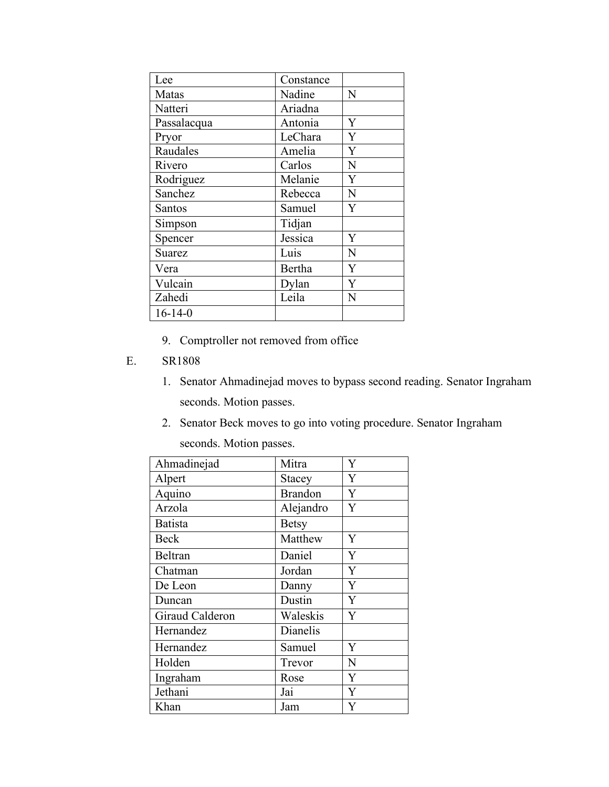| Lee           | Constance |   |
|---------------|-----------|---|
| Matas         | Nadine    | N |
| Natteri       | Ariadna   |   |
| Passalacqua   | Antonia   | Y |
| Pryor         | LeChara   | Y |
| Raudales      | Amelia    | Y |
| Rivero        | Carlos    | N |
| Rodriguez     | Melanie   | Y |
| Sanchez       | Rebecca   | N |
| Santos        | Samuel    | Ÿ |
| Simpson       | Tidjan    |   |
| Spencer       | Jessica   | Y |
| <b>Suarez</b> | Luis      | N |
| Vera          | Bertha    | Y |
| Vulcain       | Dylan     | Y |
| Zahedi        | Leila     | N |
| $16 - 14 - 0$ |           |   |

9. Comptroller not removed from office

#### E. SR1808

- 1. Senator Ahmadinejad moves to bypass second reading. Senator Ingraham seconds. Motion passes.
- 2. Senator Beck moves to go into voting procedure. Senator Ingraham seconds. Motion passes.

| Ahmadinejad     | Mitra          | Y              |
|-----------------|----------------|----------------|
| Alpert          | <b>Stacey</b>  | Y              |
| Aquino          | <b>Brandon</b> | Y              |
| Arzola          | Alejandro      | Y              |
| <b>Batista</b>  | <b>Betsy</b>   |                |
| Beck            | Matthew        | Y              |
| <b>Beltran</b>  | Daniel         | Y              |
| Chatman         | Jordan         | $\overline{Y}$ |
| De Leon         | Danny          | Y              |
| Duncan          | Dustin         | Y              |
| Giraud Calderon | Waleskis       | Y              |
| Hernandez       | Dianelis       |                |
| Hernandez       | Samuel         | Y              |
| Holden          | Trevor         | N              |
| Ingraham        | Rose           | Y              |
| Jethani         | Jai            | Y              |
| Khan            | Jam            | Y              |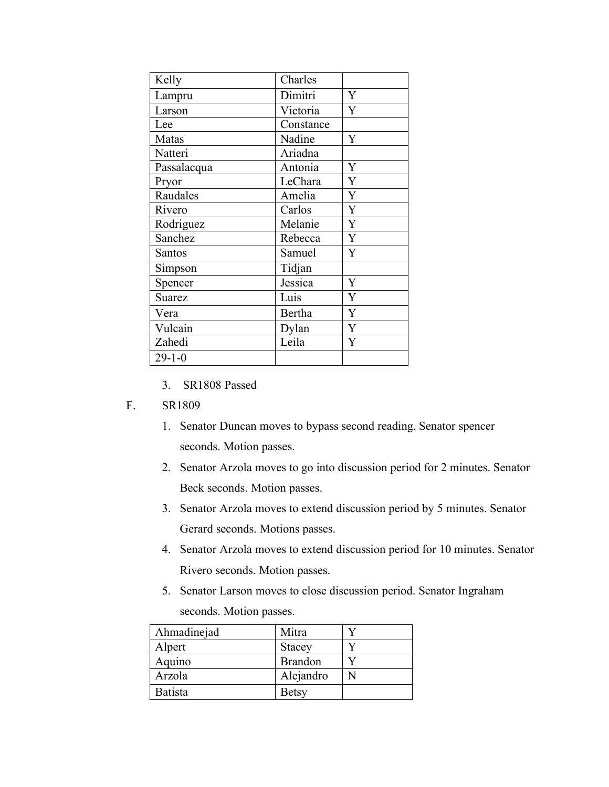| Kelly         | Charles   |                |
|---------------|-----------|----------------|
| Lampru        | Dimitri   | Y              |
| Larson        | Victoria  | Y              |
| Lee           | Constance |                |
| Matas         | Nadine    | Y              |
| Natteri       | Ariadna   |                |
| Passalacqua   | Antonia   | Y              |
| Pryor         | LeChara   | $\overline{Y}$ |
| Raudales      | Amelia    | $\overline{Y}$ |
| Rivero        | Carlos    | $\overline{Y}$ |
| Rodriguez     | Melanie   | $\overline{Y}$ |
| Sanchez       | Rebecca   | Y              |
| Santos        | Samuel    | Y              |
| Simpson       | Tidjan    |                |
| Spencer       | Jessica   | Y              |
| <b>Suarez</b> | Luis      | Y              |
| Vera          | Bertha    | Y              |
| Vulcain       | Dylan     | $\overline{Y}$ |
| Zahedi        | Leila     | Y              |
| $29 - 1 - 0$  |           |                |

3. SR1808 Passed

#### F. SR1809

- 1. Senator Duncan moves to bypass second reading. Senator spencer seconds. Motion passes.
- 2. Senator Arzola moves to go into discussion period for 2 minutes. Senator Beck seconds. Motion passes.
- 3. Senator Arzola moves to extend discussion period by 5 minutes. Senator Gerard seconds. Motions passes.
- 4. Senator Arzola moves to extend discussion period for 10 minutes. Senator Rivero seconds. Motion passes.
- 5. Senator Larson moves to close discussion period. Senator Ingraham seconds. Motion passes.

| Ahmadinejad    | Mitra          |  |
|----------------|----------------|--|
| Alpert         | <b>Stacey</b>  |  |
| Aquino         | <b>Brandon</b> |  |
| Arzola         | Alejandro      |  |
| <b>Batista</b> | <b>Betsy</b>   |  |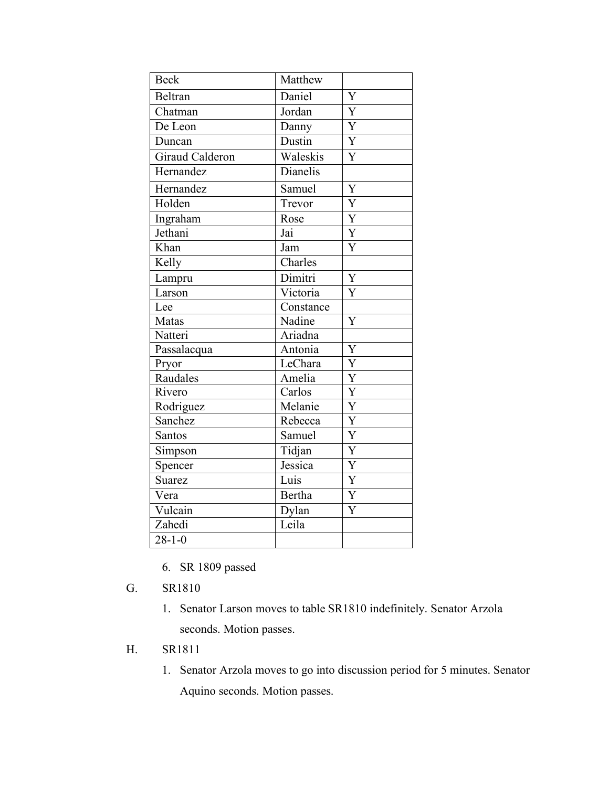| <b>Beck</b>            | Matthew       |                       |
|------------------------|---------------|-----------------------|
| Beltran                | Daniel        | Y                     |
| Chatman                | Jordan        | Y                     |
| De Leon                | Danny         | $\overline{\text{Y}}$ |
| Duncan                 | Dustin        | $\overline{Y}$        |
| <b>Giraud Calderon</b> | Waleskis      | Y                     |
| Hernandez              | Dianelis      |                       |
| Hernandez              | Samuel        | Y                     |
| Holden                 | Trevor        | $\overline{\text{Y}}$ |
| Ingraham               | Rose          | Y                     |
| Jethani                | Jai           | Y                     |
| Khan                   | Jam           | $\overline{Y}$        |
| Kelly                  | Charles       |                       |
| Lampru                 | Dimitri       | Y                     |
| Larson                 | Victoria      | Y                     |
| Lee                    | Constance     |                       |
| Matas                  | Nadine        | Y                     |
| Natteri                | Ariadna       |                       |
| Passalacqua            | Antonia       | Y                     |
| Pryor                  | LeChara       | $\overline{Y}$        |
| Raudales               | Amelia        | $\overline{Y}$        |
| Rivero                 | Carlos        | $\overline{\text{Y}}$ |
| Rodriguez              | Melanie       | $\overline{\text{Y}}$ |
| Sanchez                | Rebecca       | $\overline{\text{Y}}$ |
| Santos                 | Samuel        | $\overline{\text{Y}}$ |
| Simpson                | Tidjan        | Y                     |
| Spencer                | Jessica       | $\overline{Y}$        |
| Suarez                 | Luis          | $\overline{\text{Y}}$ |
| Vera                   | <b>Bertha</b> | $\overline{Y}$        |
| Vulcain                | Dylan         | Y                     |
| Zahedi                 | Leila         |                       |
| $28 - 1 - 0$           |               |                       |

6. SR 1809 passed

# G. SR1810

1. Senator Larson moves to table SR1810 indefinitely. Senator Arzola seconds. Motion passes.

# H. SR1811

1. Senator Arzola moves to go into discussion period for 5 minutes. Senator Aquino seconds. Motion passes.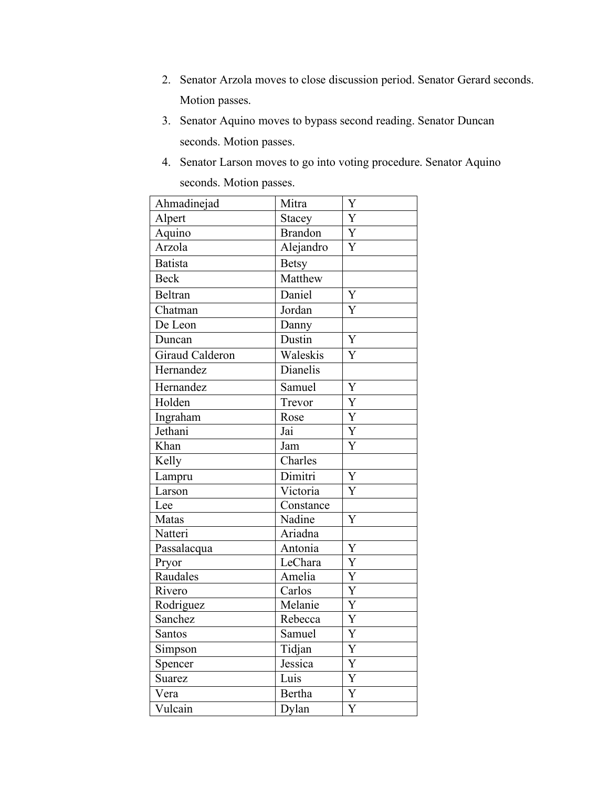- 2. Senator Arzola moves to close discussion period. Senator Gerard seconds. Motion passes.
- 3. Senator Aquino moves to bypass second reading. Senator Duncan seconds. Motion passes.
- 4. Senator Larson moves to go into voting procedure. Senator Aquino seconds. Motion passes.

| Ahmadinejad            | Mitra          | Y                         |
|------------------------|----------------|---------------------------|
| Alpert                 | Stacey         | Y                         |
| Aquino                 | <b>Brandon</b> | Y                         |
| Arzola                 | Alejandro      | Y                         |
| <b>Batista</b>         | <b>Betsy</b>   |                           |
| <b>Beck</b>            | Matthew        |                           |
| Beltran                | Daniel         | Y                         |
| Chatman                | Jordan         | Y                         |
| De Leon                | Danny          |                           |
| Duncan                 | Dustin         | $\overline{Y}$            |
| <b>Giraud Calderon</b> | Waleskis       | $\overline{\overline{Y}}$ |
| Hernandez              | Dianelis       |                           |
| Hernandez              | Samuel         | Y                         |
| Holden                 | Trevor         | $\overline{Y}$            |
| Ingraham               | Rose           | Y                         |
| Jethani                | Jai            | $\overline{Y}$            |
| Khan                   | Jam            | Y                         |
| Kelly                  | Charles        |                           |
| Lampru                 | Dimitri        | Y                         |
| Larson                 | Victoria       | Y                         |
| Lee                    | Constance      |                           |
| Matas                  | Nadine         | Y                         |
| Natteri                | Ariadna        |                           |
| Passalacqua            | Antonia        | Y                         |
| Pryor                  | LeChara        | $\overline{\text{Y}}$     |
| Raudales               | Amelia         | Y                         |
| Rivero                 | Carlos         | $\overline{\text{Y}}$     |
| Rodriguez              | Melanie        | $\overline{\text{Y}}$     |
| Sanchez                | Rebecca        | $\overline{\text{Y}}$     |
| Santos                 | Samuel         | $\overline{\text{Y}}$     |
| Simpson                | Tidjan         | Y                         |
| Spencer                | Jessica        | Y                         |
| Suarez                 | Luis           | $\overline{Y}$            |
| Vera                   | <b>Bertha</b>  | Y                         |
| Vulcain                | Dylan          | $\overline{\text{Y}}$     |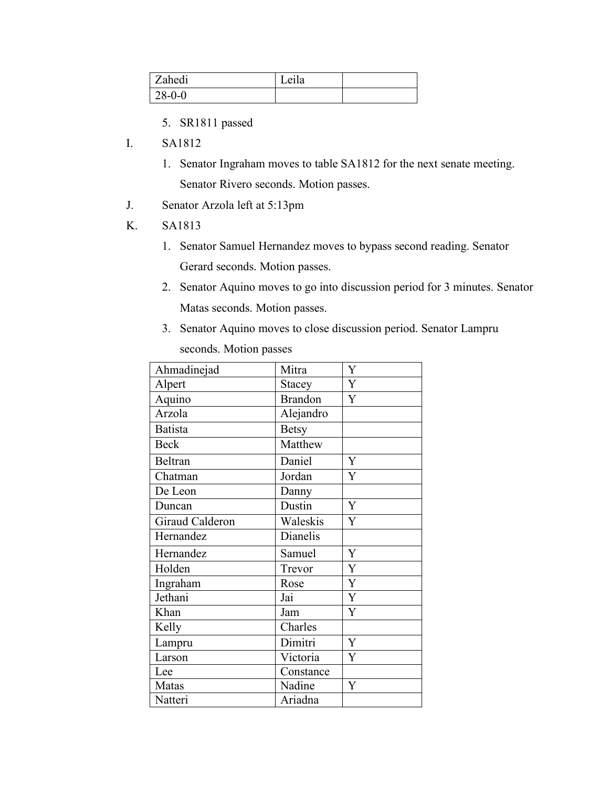| Zahedi   | . .<br>Leila |  |
|----------|--------------|--|
| $28-0-0$ |              |  |

- 5. SR1811 passed
- I. SA1812
	- 1. Senator Ingraham moves to table SA1812 for the next senate meeting. Senator Rivero seconds. Motion passes.
- J. Senator Arzola left at 5:13pm
- K. SA1813
	- 1. Senator Samuel Hernandez moves to bypass second reading. Senator Gerard seconds. Motion passes.
	- 2. Senator Aquino moves to go into discussion period for 3 minutes. Senator Matas seconds. Motion passes.
	- 3. Senator Aquino moves to close discussion period. Senator Lampru seconds. Motion passes

| Ahmadinejad     | Mitra          | Y |
|-----------------|----------------|---|
| Alpert          | Stacey         | Y |
| Aquino          | <b>Brandon</b> | Y |
| Arzola          | Alejandro      |   |
| <b>Batista</b>  | <b>Betsy</b>   |   |
| <b>Beck</b>     | Matthew        |   |
| <b>Beltran</b>  | Daniel         | Y |
| Chatman         | Jordan         | Y |
| De Leon         | Danny          |   |
| Duncan          | Dustin         | Y |
| Giraud Calderon | Waleskis       | Y |
| Hernandez       | Dianelis       |   |
| Hernandez       | Samuel         | Y |
| Holden          | Trevor         | Y |
| Ingraham        | Rose           | Y |
| Jethani         | Jai            | Y |
| Khan            | Jam            | Y |
| Kelly           | Charles        |   |
| Lampru          | Dimitri        | Y |
| Larson          | Victoria       | Y |
| Lee             | Constance      |   |
| Matas           | Nadine         | Y |
| Natteri         | Ariadna        |   |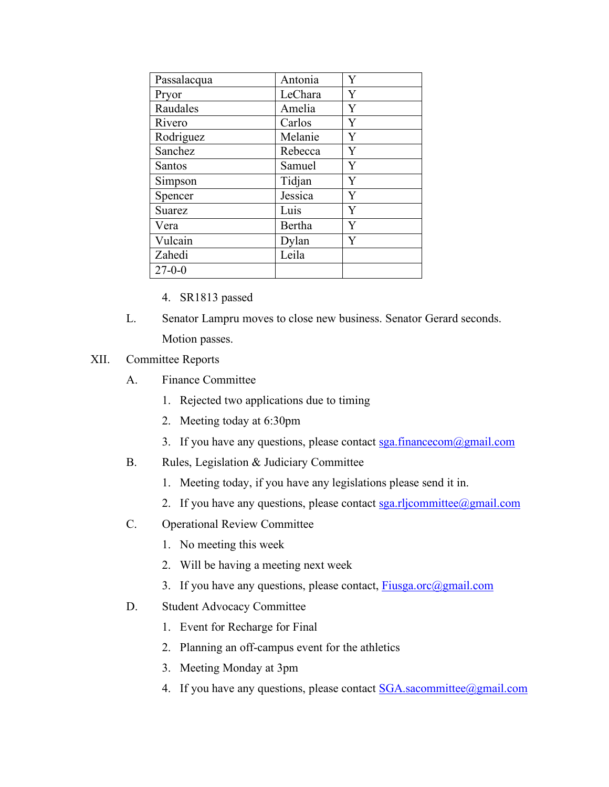| Passalacqua  | Antonia | Ÿ |
|--------------|---------|---|
| Pryor        | LeChara | Y |
| Raudales     | Amelia  | Y |
| Rivero       | Carlos  | Y |
| Rodriguez    | Melanie | Y |
| Sanchez      | Rebecca | Y |
| Santos       | Samuel  | Y |
| Simpson      | Tidjan  | Y |
| Spencer      | Jessica | Y |
| Suarez       | Luis    | Y |
| Vera         | Bertha  | Ÿ |
| Vulcain      | Dylan   | Y |
| Zahedi       | Leila   |   |
| $27 - 0 - 0$ |         |   |

- 4. SR1813 passed
- L. Senator Lampru moves to close new business. Senator Gerard seconds. Motion passes.

## XII. Committee Reports

- A. Finance Committee
	- 1. Rejected two applications due to timing
	- 2. Meeting today at 6:30pm
	- 3. If you have any questions, please contact  $sga$  financecom $@g$  mail.com
- B. Rules, Legislation & Judiciary Committee
	- 1. Meeting today, if you have any legislations please send it in.
	- 2. If you have any questions, please contact  $sga.rlicommitte@gmail.com$
- C. Operational Review Committee
	- 1. No meeting this week
	- 2. Will be having a meeting next week
	- 3. If you have any questions, please contact,  $Fivsga.$  or  $(a)$  gmail.com
- D. Student Advocacy Committee
	- 1. Event for Recharge for Final
	- 2. Planning an off-campus event for the athletics
	- 3. Meeting Monday at 3pm
	- 4. If you have any questions, please contact  $SGA$ . sacommittee  $@g$  mail.com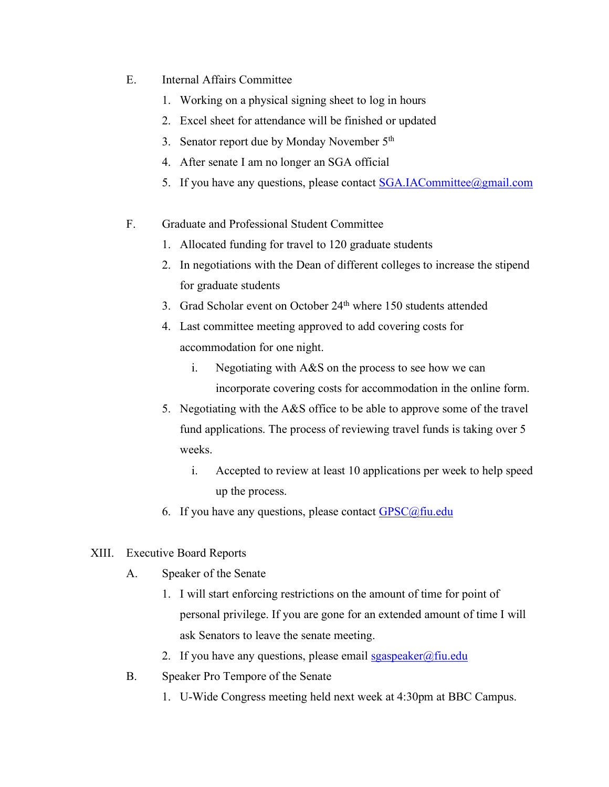- E. Internal Affairs Committee
	- 1. Working on a physical signing sheet to log in hours
	- 2. Excel sheet for attendance will be finished or updated
	- 3. Senator report due by Monday November 5<sup>th</sup>
	- 4. After senate I am no longer an SGA official
	- 5. If you have any questions, please contact SGA.IACommittee@gmail.com
- F. Graduate and Professional Student Committee
	- 1. Allocated funding for travel to 120 graduate students
	- 2. In negotiations with the Dean of different colleges to increase the stipend for graduate students
	- 3. Grad Scholar event on October 24<sup>th</sup> where 150 students attended
	- 4. Last committee meeting approved to add covering costs for accommodation for one night.
		- i. Negotiating with A&S on the process to see how we can incorporate covering costs for accommodation in the online form.
	- 5. Negotiating with the A&S office to be able to approve some of the travel fund applications. The process of reviewing travel funds is taking over 5 weeks.
		- i. Accepted to review at least 10 applications per week to help speed up the process.
	- 6. If you have any questions, please contact  $GPSC@$ fiu.edu
- XIII. Executive Board Reports
	- A. Speaker of the Senate
		- 1. I will start enforcing restrictions on the amount of time for point of personal privilege. If you are gone for an extended amount of time I will ask Senators to leave the senate meeting.
		- 2. If you have any questions, please email  $sgaspeaker@final$
	- B. Speaker Pro Tempore of the Senate
		- 1. U-Wide Congress meeting held next week at 4:30pm at BBC Campus.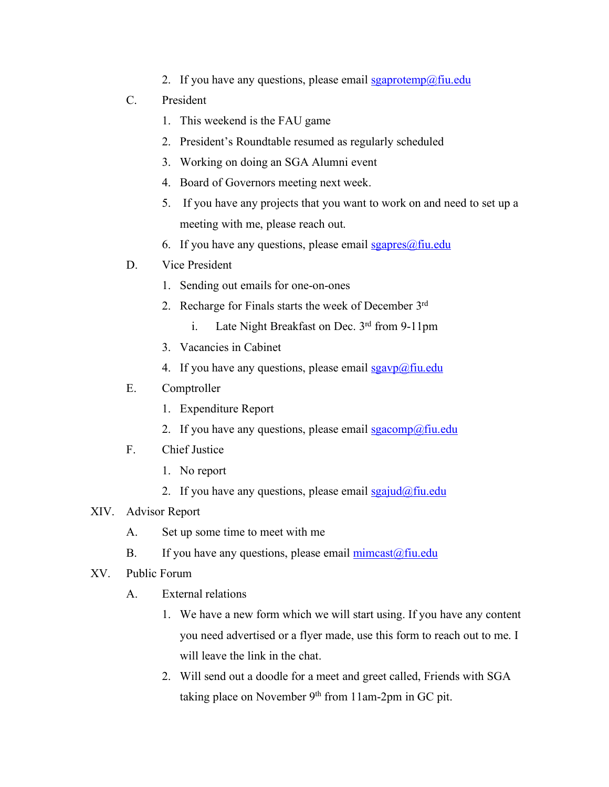- 2. If you have any questions, please email  $sgaprotemp@final$
- C. President
	- 1. This weekend is the FAU game
	- 2. President's Roundtable resumed as regularly scheduled
	- 3. Working on doing an SGA Alumni event
	- 4. Board of Governors meeting next week.
	- 5. If you have any projects that you want to work on and need to set up a meeting with me, please reach out.
	- 6. If you have any questions, please email  $sgapres(\omega f\text{in.edu})$
- D. Vice President
	- 1. Sending out emails for one-on-ones
	- 2. Recharge for Finals starts the week of December 3rd
		- i. Late Night Breakfast on Dec. 3rd from 9-11pm
	- 3. Vacancies in Cabinet
	- 4. If you have any questions, please email  $sgavp(\omega)$  fiu.edu
- E. Comptroller
	- 1. Expenditure Report
	- 2. If you have any questions, please email sgacomp@fiu.edu
- F. Chief Justice
	- 1. No report
	- 2. If you have any questions, please email  $sgaiud@fiu.edu$ </u>

## XIV. Advisor Report

- A. Set up some time to meet with me
- B. If you have any questions, please email  $\frac{\text{mincast}(\partial f\text{in.edu})}{\text{mincast}(\partial f\text{in.edu})}$
- XV. Public Forum
	- A. External relations
		- 1. We have a new form which we will start using. If you have any content you need advertised or a flyer made, use this form to reach out to me. I will leave the link in the chat.
		- 2. Will send out a doodle for a meet and greet called, Friends with SGA taking place on November  $9<sup>th</sup>$  from 11am-2pm in GC pit.